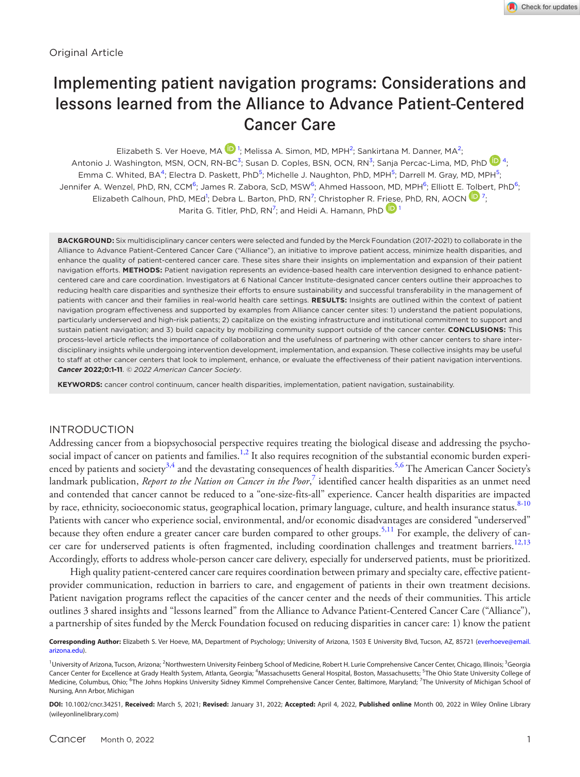# Implementing patient navigation programs: Considerations and lessons learned from the Alliance to Advance Patient-Centered Cancer Care

Elizabeth S. Ver Hoeve, MA  $\mathbf{D}^1$  $\mathbf{D}^1$ ; Melissa A. Simon, MD, MPH<sup>[2](#page-0-1)</sup>; Sankirtana M. Danner, MA<sup>2</sup>; Antonio J. Washington, MSN, OCN, RN-BC<sup>[3](#page-0-2)</sup>; Susan D. Coples, BSN, OCN, RN<sup>3</sup>; Sanja Percac-Lima, MD, PhD <sup>1</sup>, Emma C. Whited, BA<sup>[4](#page-0-3)</sup>; Electra D. Paskett, PhD<sup>[5](#page-0-4)</sup>; Michelle J. Naughton, PhD, MPH<sup>5</sup>; Darrell M. Gray, MD, MPH<sup>5</sup>; Jennifer A. Wenzel, PhD, RN, CCM<sup>[6](#page-0-5)</sup>; James R. Zabora, ScD, MSW<sup>6</sup>; Ahmed Hassoon, MD, MPH<sup>6</sup>; Elliott E. [Tolb](https://orcid.org/0000-0002-2281-2056)ert, PhD<sup>6</sup>; Elizabeth Calhoun, PhD, MEd<sup>[1](#page-0-0)</sup>; Debra L. Barton, PhD, RN<sup>[7](#page-0-6)</sup>; Christopher R. F[riese](https://orcid.org/0000-0002-3207-0949), PhD, RN, AOCN  $\mathbb{D}^7$ ; Marita G. Titler, PhD, RN<sup>[7](#page-0-6)</sup>; and Heidi A. Hamann, PhD  $\mathbf{D}$  [1](#page-0-0)

**BACKGROUND:** Six multidisciplinary cancer centers were selected and funded by the Merck Foundation (2017-2021) to collaborate in the Alliance to Advance Patient-Centered Cancer Care ("Alliance"), an initiative to improve patient access, minimize health disparities, and enhance the quality of patient-centered cancer care. These sites share their insights on implementation and expansion of their patient navigation efforts. **METHODS:** Patient navigation represents an evidence-based health care intervention designed to enhance patientcentered care and care coordination. Investigators at 6 National Cancer Institute-designated cancer centers outline their approaches to reducing health care disparities and synthesize their efforts to ensure sustainability and successful transferability in the management of patients with cancer and their families in real-world health care settings. **RESULTS:** Insights are outlined within the context of patient navigation program effectiveness and supported by examples from Alliance cancer center sites: 1) understand the patient populations, particularly underserved and high-risk patients; 2) capitalize on the existing infrastructure and institutional commitment to support and sustain patient navigation; and 3) build capacity by mobilizing community support outside of the cancer center. **CONCLUSIONS:** This process-level article reflects the importance of collaboration and the usefulness of partnering with other cancer centers to share interdisciplinary insights while undergoing intervention development, implementation, and expansion. These collective insights may be useful to staff at other cancer centers that look to implement, enhance, or evaluate the effectiveness of their patient navigation interventions. *Cancer* **2022;0:1-11**. *© 2022 American Cancer Society*.

**KEYWORDS:** cancer control continuum, cancer health disparities, implementation, patient navigation, sustainability.

### INTRODUCTION

Addressing cancer from a biopsychosocial perspective requires treating the biological disease and addressing the psycho-social impact of cancer on patients and families.<sup>[1,2](#page-9-0)</sup> It also requires recognition of the substantial economic burden experi-enced by patients and society<sup>[3,4](#page-9-1)</sup> and the devastating consequences of health disparities.<sup>5,6</sup> The American Cancer Society's landmark publication, *Report to the Nation on Cancer in the Poor*,<sup>[7](#page-9-3)</sup> identified cancer health disparities as an unmet need and contended that cancer cannot be reduced to a "one-size-fits-all" experience. Cancer health disparities are impacted by race, ethnicity, socioeconomic status, geographical location, primary language, culture, and health insurance status.<sup>[8-10](#page-9-4)</sup> Patients with cancer who experience social, environmental, and/or economic disadvantages are considered "underserved" because they often endure a greater cancer care burden compared to other groups.<sup>5,11</sup> For example, the delivery of can-cer care for underserved patients is often fragmented, including coordination challenges and treatment barriers.<sup>[12,13](#page-9-5)</sup> Accordingly, efforts to address whole-person cancer care delivery, especially for underserved patients, must be prioritized.

High quality patient-centered cancer care requires coordination between primary and specialty care, effective patientprovider communication, reduction in barriers to care, and engagement of patients in their own treatment decisions. Patient navigation programs reflect the capacities of the cancer center and the needs of their communities. This article outlines 3 shared insights and "lessons learned" from the Alliance to Advance Patient-Centered Cancer Care ("Alliance"), a partnership of sites funded by the Merck Foundation focused on reducing disparities in cancer care: 1) know the patient

<span id="page-0-0"></span>**Corresponding Author:** Elizabeth S. Ver Hoeve, MA, Department of Psychology; University of Arizona, 1503 E University Blvd, Tucson, AZ, 85721 [\(everhoeve@email.](mailto:everhoeve@email.arizona.edu) [arizona.edu\)](mailto:everhoeve@email.arizona.edu).

<span id="page-0-6"></span><span id="page-0-5"></span><span id="page-0-4"></span><span id="page-0-3"></span><span id="page-0-2"></span><span id="page-0-1"></span><sup>&</sup>lt;sup>1</sup>University of Arizona, Tucson, Arizona; <sup>2</sup>Northwestern University Feinberg School of Medicine, Robert H. Lurie Comprehensive Cancer Center, Chicago, Illinois; <sup>3</sup>Georgia Cancer Center for Excellence at Grady Health System, Atlanta, Georgia; <sup>4</sup>Massachusetts General Hospital, Boston, Massachusetts; <sup>5</sup>The Ohio State University College of Medicine, Columbus, Ohio; <sup>6</sup>The Johns Hopkins University Sidney Kimmel Comprehensive Cancer Center, Baltimore, Maryland; <sup>7</sup>The University of Michigan School of Nursing, Ann Arbor, Michigan

**DOI:** 10.1002/cncr.34251, **Received:** March 5, 2021; **Revised:** January 31, 2022; **Accepted:** April 4, 2022, **Published online** Month 00, 2022 in Wiley Online Library (wileyonlinelibrary.com)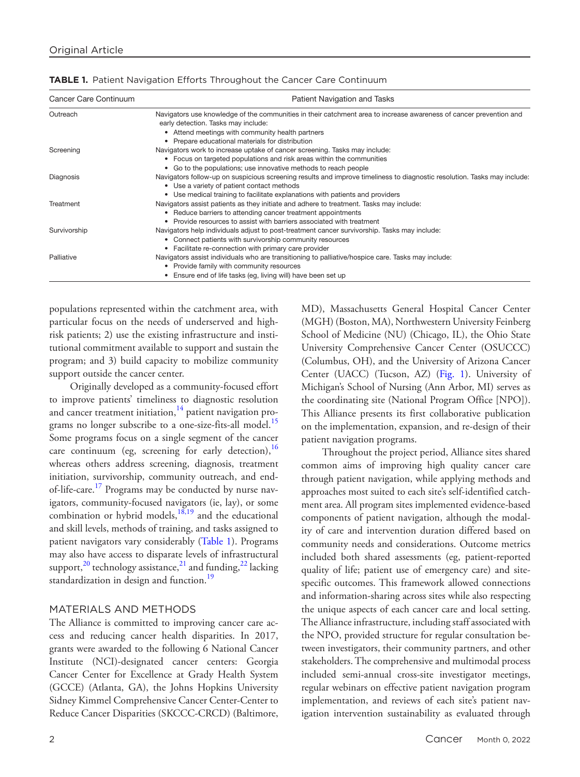| Cancer Care Continuum | Patient Navigation and Tasks                                                                                                                                                                                  |
|-----------------------|---------------------------------------------------------------------------------------------------------------------------------------------------------------------------------------------------------------|
| Outreach              | Navigators use knowledge of the communities in their catchment area to increase awareness of cancer prevention and<br>early detection. Tasks may include:<br>• Attend meetings with community health partners |
|                       | Prepare educational materials for distribution                                                                                                                                                                |
| Screening             | Navigators work to increase uptake of cancer screening. Tasks may include:                                                                                                                                    |
|                       | • Focus on targeted populations and risk areas within the communities                                                                                                                                         |
|                       | • Go to the populations; use innovative methods to reach people                                                                                                                                               |
| Diagnosis             | Navigators follow-up on suspicious screening results and improve timeliness to diagnostic resolution. Tasks may include:<br>• Use a variety of patient contact methods                                        |
|                       | Use medical training to facilitate explanations with patients and providers                                                                                                                                   |
| Treatment             | Navigators assist patients as they initiate and adhere to treatment. Tasks may include:                                                                                                                       |
|                       | • Reduce barriers to attending cancer treatment appointments                                                                                                                                                  |
|                       | Provide resources to assist with barriers associated with treatment                                                                                                                                           |
| Survivorship          | Navigators help individuals adjust to post-treatment cancer survivorship. Tasks may include:                                                                                                                  |
|                       | • Connect patients with survivorship community resources                                                                                                                                                      |
|                       | • Facilitate re-connection with primary care provider                                                                                                                                                         |
| Palliative            | Navigators assist individuals who are transitioning to palliative/hospice care. Tasks may include:                                                                                                            |
|                       | • Provide family with community resources                                                                                                                                                                     |
|                       | Ensure end of life tasks (eg, living will) have been set up                                                                                                                                                   |

<span id="page-1-0"></span>

| TABLE 1. Patient Navigation Efforts Throughout the Cancer Care Continuum |  |  |
|--------------------------------------------------------------------------|--|--|
|--------------------------------------------------------------------------|--|--|

populations represented within the catchment area, with particular focus on the needs of underserved and highrisk patients; 2) use the existing infrastructure and institutional commitment available to support and sustain the program; and 3) build capacity to mobilize community support outside the cancer center.

Originally developed as a community-focused effort to improve patients' timeliness to diagnostic resolution and cancer treatment initiation, $14$  patient navigation programs no longer subscribe to a one-size-fits-all model.<sup>15</sup> Some programs focus on a single segment of the cancer care continuum (eg, screening for early detection),  $16$ whereas others address screening, diagnosis, treatment initiation, survivorship, community outreach, and endof-life-care.<sup>17</sup> Programs may be conducted by nurse navigators, community-focused navigators (ie, lay), or some combination or hybrid models, $18,19$  and the educational and skill levels, methods of training, and tasks assigned to patient navigators vary considerably (Table [1\)](#page-1-0). Programs may also have access to disparate levels of infrastructural support,<sup>20</sup> technology assistance,<sup>[21](#page-10-1)</sup> and funding,<sup>22</sup> lacking standardization in design and function.<sup>[19](#page-9-11)</sup>

## MATERIALS AND METHODS

The Alliance is committed to improving cancer care access and reducing cancer health disparities. In 2017, grants were awarded to the following 6 National Cancer Institute (NCI)-designated cancer centers: Georgia Cancer Center for Excellence at Grady Health System (GCCE) (Atlanta, GA), the Johns Hopkins University Sidney Kimmel Comprehensive Cancer Center-Center to Reduce Cancer Disparities (SKCCC-CRCD) (Baltimore,

MD), Massachusetts General Hospital Cancer Center (MGH) (Boston, MA), Northwestern University Feinberg School of Medicine (NU) (Chicago, IL), the Ohio State University Comprehensive Cancer Center (OSUCCC) (Columbus, OH), and the University of Arizona Cancer Center (UACC) (Tucson, AZ) (Fig. [1](#page-2-0)). University of Michigan's School of Nursing (Ann Arbor, MI) serves as the coordinating site (National Program Office [NPO]). This Alliance presents its first collaborative publication on the implementation, expansion, and re-design of their patient navigation programs.

Throughout the project period, Alliance sites shared common aims of improving high quality cancer care through patient navigation, while applying methods and approaches most suited to each site's self-identified catchment area. All program sites implemented evidence-based components of patient navigation, although the modality of care and intervention duration differed based on community needs and considerations. Outcome metrics included both shared assessments (eg, patient-reported quality of life; patient use of emergency care) and sitespecific outcomes. This framework allowed connections and information-sharing across sites while also respecting the unique aspects of each cancer care and local setting. The Alliance infrastructure, including staff associated with the NPO, provided structure for regular consultation between investigators, their community partners, and other stakeholders. The comprehensive and multimodal process included semi-annual cross-site investigator meetings, regular webinars on effective patient navigation program implementation, and reviews of each site's patient navigation intervention sustainability as evaluated through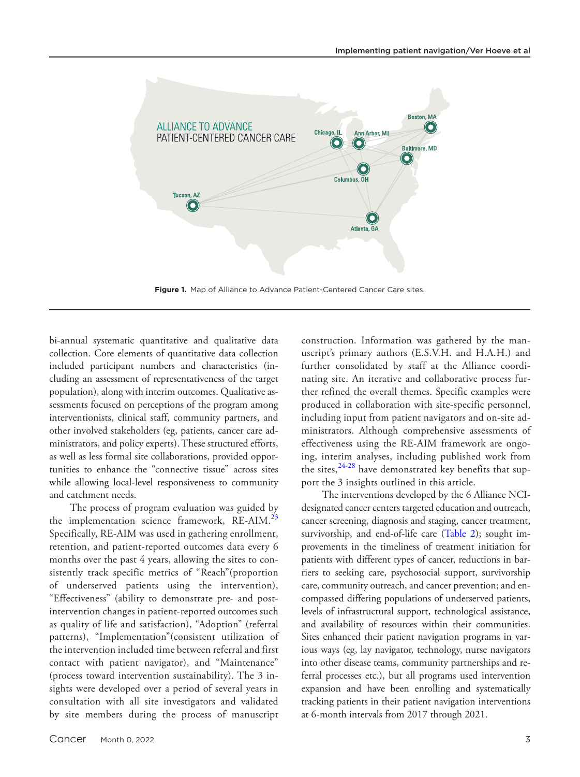

**Figure 1.** Map of Alliance to Advance Patient-Centered Cancer Care sites.

bi-annual systematic quantitative and qualitative data collection. Core elements of quantitative data collection included participant numbers and characteristics (including an assessment of representativeness of the target population), along with interim outcomes. Qualitative assessments focused on perceptions of the program among interventionists, clinical staff, community partners, and other involved stakeholders (eg, patients, cancer care administrators, and policy experts). These structured efforts, as well as less formal site collaborations, provided opportunities to enhance the "connective tissue" across sites while allowing local-level responsiveness to community and catchment needs.

The process of program evaluation was guided by the implementation science framework, RE-AIM.<sup>[23](#page-10-3)</sup> Specifically, RE-AIM was used in gathering enrollment, retention, and patient-reported outcomes data every 6 months over the past 4 years, allowing the sites to consistently track specific metrics of "Reach"(proportion of underserved patients using the intervention), "Effectiveness" (ability to demonstrate pre- and postintervention changes in patient-reported outcomes such as quality of life and satisfaction), "Adoption" (referral patterns), "Implementation"(consistent utilization of the intervention included time between referral and first contact with patient navigator), and "Maintenance" (process toward intervention sustainability). The 3 insights were developed over a period of several years in consultation with all site investigators and validated by site members during the process of manuscript

Cancer Month 0, 2022 3

<span id="page-2-0"></span>construction. Information was gathered by the manuscript's primary authors (E.S.V.H. and H.A.H.) and further consolidated by staff at the Alliance coordinating site. An iterative and collaborative process further refined the overall themes. Specific examples were produced in collaboration with site-specific personnel, including input from patient navigators and on-site administrators. Although comprehensive assessments of effectiveness using the RE-AIM framework are ongoing, interim analyses, including published work from the sites,  $24-28$  have demonstrated key benefits that support the 3 insights outlined in this article.

The interventions developed by the 6 Alliance NCIdesignated cancer centers targeted education and outreach, cancer screening, diagnosis and staging, cancer treatment, survivorship, and end-of-life care (Table [2\)](#page-3-0); sought improvements in the timeliness of treatment initiation for patients with different types of cancer, reductions in barriers to seeking care, psychosocial support, survivorship care, community outreach, and cancer prevention; and encompassed differing populations of underserved patients, levels of infrastructural support, technological assistance, and availability of resources within their communities. Sites enhanced their patient navigation programs in various ways (eg, lay navigator, technology, nurse navigators into other disease teams, community partnerships and referral processes etc.), but all programs used intervention expansion and have been enrolling and systematically tracking patients in their patient navigation interventions at 6-month intervals from 2017 through 2021.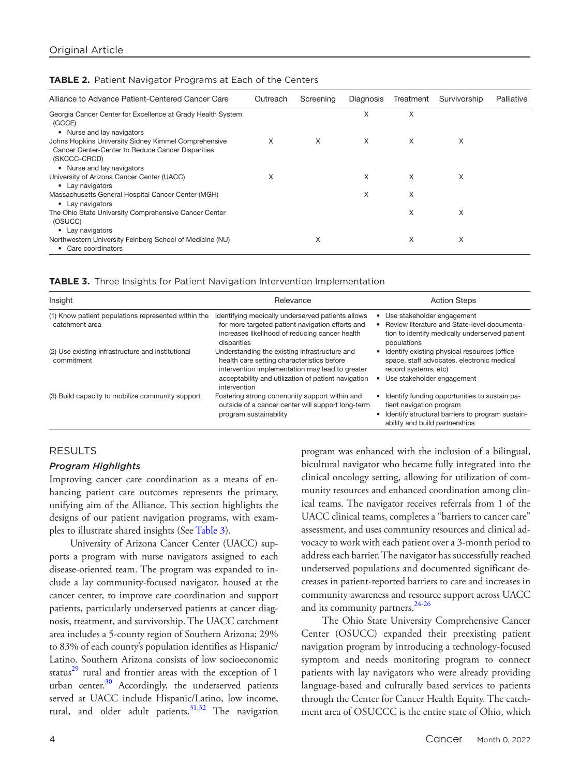| Alliance to Advance Patient-Centered Cancer Care                                                                          | Outreach | Screening | Diagnosis | Treatment | Survivorship | Palliative |
|---------------------------------------------------------------------------------------------------------------------------|----------|-----------|-----------|-----------|--------------|------------|
| Georgia Cancer Center for Excellence at Grady Health System<br>(GCCE)                                                     |          |           | X         | X         |              |            |
| • Nurse and lay navigators                                                                                                |          |           |           |           |              |            |
| Johns Hopkins University Sidney Kimmel Comprehensive<br>Cancer Center-Center to Reduce Cancer Disparities<br>(SKCCC-CRCD) | X        | X         | X         | X         | X            |            |
| • Nurse and lay navigators                                                                                                |          |           |           |           |              |            |
| University of Arizona Cancer Center (UACC)<br>• Lay navigators                                                            | X        |           | X         | X         | X            |            |
| Massachusetts General Hospital Cancer Center (MGH)<br>• Lay navigators                                                    |          |           | X         | X         |              |            |
| The Ohio State University Comprehensive Cancer Center<br>(OSUCC)                                                          |          |           |           | X         | X            |            |
| • Lay navigators                                                                                                          |          |           |           |           |              |            |
| Northwestern University Feinberg School of Medicine (NU)<br>• Care coordinators                                           |          | X         |           | X         | X            |            |

### <span id="page-3-0"></span>**TABLE 2.** Patient Navigator Programs at Each of the Centers

<span id="page-3-1"></span>**TABLE 3.** Three Insights for Patient Navigation Intervention Implementation

| Insight                                                               | Relevance                                                                                                                                                                                                             | <b>Action Steps</b>                                                                                                                                             |  |  |
|-----------------------------------------------------------------------|-----------------------------------------------------------------------------------------------------------------------------------------------------------------------------------------------------------------------|-----------------------------------------------------------------------------------------------------------------------------------------------------------------|--|--|
| (1) Know patient populations represented within the<br>catchment area | Identifying medically underserved patients allows<br>for more targeted patient navigation efforts and<br>increases likelihood of reducing cancer health<br>disparities                                                | Use stakeholder engagement<br>Review literature and State-level documenta-<br>tion to identify medically underserved patient<br>populations                     |  |  |
| (2) Use existing infrastructure and institutional<br>commitment       | Understanding the existing infrastructure and<br>health care setting characteristics before<br>intervention implementation may lead to greater<br>acceptability and utilization of patient navigation<br>intervention | Identify existing physical resources (office<br>٠<br>space, staff advocates, electronic medical<br>record systems, etc)<br>Use stakeholder engagement<br>٠      |  |  |
| (3) Build capacity to mobilize community support                      | Fostering strong community support within and<br>outside of a cancer center will support long-term<br>program sustainability                                                                                          | Identify funding opportunities to sustain pa-<br>tient navigation program<br>Identify structural barriers to program sustain-<br>ability and build partnerships |  |  |

# RESULTS

## *Program Highlights*

Improving cancer care coordination as a means of enhancing patient care outcomes represents the primary, unifying aim of the Alliance. This section highlights the designs of our patient navigation programs, with examples to illustrate shared insights (See Table [3](#page-3-1)).

University of Arizona Cancer Center (UACC) supports a program with nurse navigators assigned to each disease-oriented team. The program was expanded to include a lay community-focused navigator, housed at the cancer center, to improve care coordination and support patients, particularly underserved patients at cancer diagnosis, treatment, and survivorship. The UACC catchment area includes a 5-county region of Southern Arizona; 29% to 83% of each county's population identifies as Hispanic/ Latino. Southern Arizona consists of low socioeconomic status $^{29}$  rural and frontier areas with the exception of 1 urban center. $30$  Accordingly, the underserved patients served at UACC include Hispanic/Latino, low income, rural, and older adult patients. $31,32$  The navigation

program was enhanced with the inclusion of a bilingual, bicultural navigator who became fully integrated into the clinical oncology setting, allowing for utilization of community resources and enhanced coordination among clinical teams. The navigator receives referrals from 1 of the UACC clinical teams, completes a "barriers to cancer care" assessment, and uses community resources and clinical advocacy to work with each patient over a 3-month period to address each barrier. The navigator has successfully reached underserved populations and documented significant decreases in patient-reported barriers to care and increases in community awareness and resource support across UACC and its community partners.<sup>[24-26](#page-10-4)</sup>

The Ohio State University Comprehensive Cancer Center (OSUCC) expanded their preexisting patient navigation program by introducing a technology-focused symptom and needs monitoring program to connect patients with lay navigators who were already providing language-based and culturally based services to patients through the Center for Cancer Health Equity. The catchment area of OSUCCC is the entire state of Ohio, which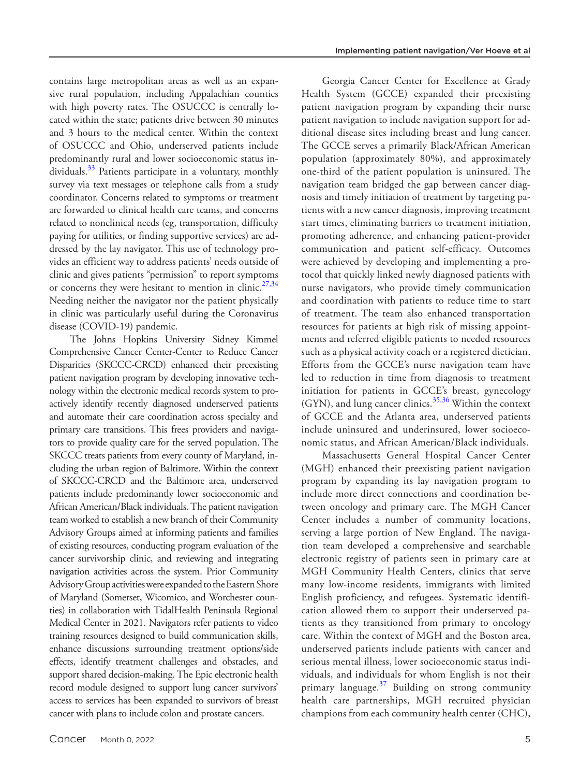contains large metropolitan areas as well as an expansive rural population, including Appalachian counties with high poverty rates. The OSUCCC is centrally located within the state; patients drive between 30 minutes and 3 hours to the medical center. Within the context of OSUCCC and Ohio, underserved patients include predominantly rural and lower socioeconomic status individuals.<sup>33</sup> Patients participate in a voluntary, monthly survey via text messages or telephone calls from a study coordinator. Concerns related to symptoms or treatment are forwarded to clinical health care teams, and concerns related to nonclinical needs (eg, transportation, difficulty paying for utilities, or finding supportive services) are addressed by the lay navigator. This use of technology provides an efficient way to address patients' needs outside of clinic and gives patients "permission" to report symptoms or concerns they were hesitant to mention in clinic.<sup>27,34</sup> Needing neither the navigator nor the patient physically in clinic was particularly useful during the Coronavirus disease (COVID-19) pandemic.

The Johns Hopkins University Sidney Kimmel Comprehensive Cancer Center-Center to Reduce Cancer Disparities (SKCCC-CRCD) enhanced their preexisting patient navigation program by developing innovative technology within the electronic medical records system to proactively identify recently diagnosed underserved patients and automate their care coordination across specialty and primary care transitions. This frees providers and navigators to provide quality care for the served population. The SKCCC treats patients from every county of Maryland, including the urban region of Baltimore. Within the context of SKCCC-CRCD and the Baltimore area, underserved patients include predominantly lower socioeconomic and African American/Black individuals. The patient navigation team worked to establish a new branch of their Community Advisory Groups aimed at informing patients and families of existing resources, conducting program evaluation of the cancer survivorship clinic, and reviewing and integrating navigation activities across the system. Prior Community Advisory Group activities were expanded to the Eastern Shore of Maryland (Somerset, Wicomico, and Worchester counties) in collaboration with TidalHealth Peninsula Regional Medical Center in 2021. Navigators refer patients to video training resources designed to build communication skills, enhance discussions surrounding treatment options/side effects, identify treatment challenges and obstacles, and support shared decision-making. The Epic electronic health record module designed to support lung cancer survivors' access to services has been expanded to survivors of breast cancer with plans to include colon and prostate cancers.

Georgia Cancer Center for Excellence at Grady Health System (GCCE) expanded their preexisting patient navigation program by expanding their nurse patient navigation to include navigation support for additional disease sites including breast and lung cancer. The GCCE serves a primarily Black/African American population (approximately 80%), and approximately one-third of the patient population is uninsured. The navigation team bridged the gap between cancer diagnosis and timely initiation of treatment by targeting patients with a new cancer diagnosis, improving treatment start times, eliminating barriers to treatment initiation, promoting adherence, and enhancing patient-provider communication and patient self-efficacy. Outcomes were achieved by developing and implementing a protocol that quickly linked newly diagnosed patients with nurse navigators, who provide timely communication and coordination with patients to reduce time to start of treatment. The team also enhanced transportation resources for patients at high risk of missing appointments and referred eligible patients to needed resources such as a physical activity coach or a registered dietician. Efforts from the GCCE's nurse navigation team have led to reduction in time from diagnosis to treatment initiation for patients in GCCE's breast, gynecology (GYN), and lung cancer clinics.[35,36](#page-10-10) Within the context of GCCE and the Atlanta area, underserved patients include uninsured and underinsured, lower socioeconomic status, and African American/Black individuals.

Massachusetts General Hospital Cancer Center (MGH) enhanced their preexisting patient navigation program by expanding its lay navigation program to include more direct connections and coordination between oncology and primary care. The MGH Cancer Center includes a number of community locations, serving a large portion of New England. The navigation team developed a comprehensive and searchable electronic registry of patients seen in primary care at MGH Community Health Centers, clinics that serve many low-income residents, immigrants with limited English proficiency, and refugees. Systematic identification allowed them to support their underserved patients as they transitioned from primary to oncology care. Within the context of MGH and the Boston area, underserved patients include patients with cancer and serious mental illness, lower socioeconomic status individuals, and individuals for whom English is not their primary language. $37$  Building on strong community health care partnerships, MGH recruited physician champions from each community health center (CHC),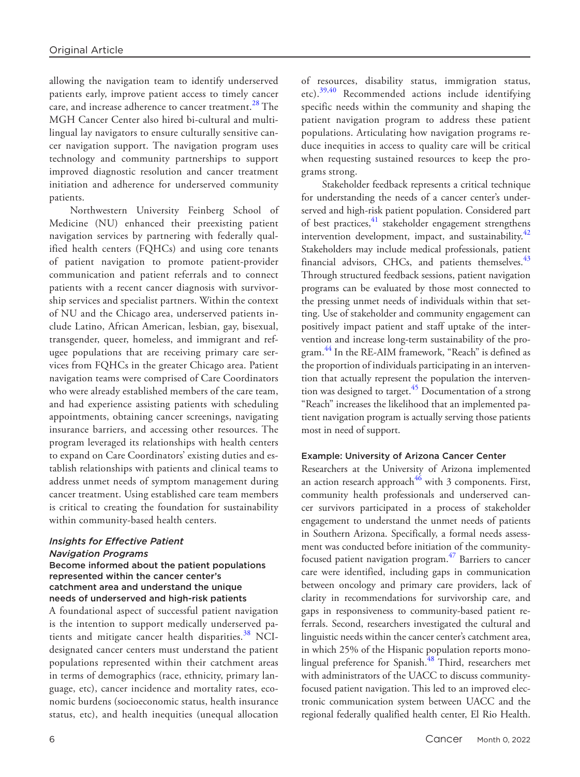allowing the navigation team to identify underserved patients early, improve patient access to timely cancer care, and increase adherence to cancer treatment.<sup>28</sup> The MGH Cancer Center also hired bi-cultural and multilingual lay navigators to ensure culturally sensitive cancer navigation support. The navigation program uses technology and community partnerships to support improved diagnostic resolution and cancer treatment initiation and adherence for underserved community patients.

Northwestern University Feinberg School of Medicine (NU) enhanced their preexisting patient navigation services by partnering with federally qualified health centers (FQHCs) and using core tenants of patient navigation to promote patient-provider communication and patient referrals and to connect patients with a recent cancer diagnosis with survivorship services and specialist partners. Within the context of NU and the Chicago area, underserved patients include Latino, African American, lesbian, gay, bisexual, transgender, queer, homeless, and immigrant and refugee populations that are receiving primary care services from FQHCs in the greater Chicago area. Patient navigation teams were comprised of Care Coordinators who were already established members of the care team, and had experience assisting patients with scheduling appointments, obtaining cancer screenings, navigating insurance barriers, and accessing other resources. The program leveraged its relationships with health centers to expand on Care Coordinators' existing duties and establish relationships with patients and clinical teams to address unmet needs of symptom management during cancer treatment. Using established care team members is critical to creating the foundation for sustainability within community-based health centers.

#### *Insights for Effective Patient Navigation Programs*

## Become informed about the patient populations represented within the cancer center's catchment area and understand the unique needs of underserved and high-risk patients

A foundational aspect of successful patient navigation is the intention to support medically underserved patients and mitigate cancer health disparities. $38$  NCIdesignated cancer centers must understand the patient populations represented within their catchment areas in terms of demographics (race, ethnicity, primary language, etc), cancer incidence and mortality rates, economic burdens (socioeconomic status, health insurance status, etc), and health inequities (unequal allocation of resources, disability status, immigration status, etc).[39,40](#page-10-14) Recommended actions include identifying specific needs within the community and shaping the patient navigation program to address these patient populations. Articulating how navigation programs reduce inequities in access to quality care will be critical when requesting sustained resources to keep the programs strong.

Stakeholder feedback represents a critical technique for understanding the needs of a cancer center's underserved and high-risk patient population. Considered part of best practices[,41](#page-10-15) stakeholder engagement strengthens intervention development, impact, and sustainability. $42$ Stakeholders may include medical professionals, patient financial advisors, CHCs, and patients themselves.<sup>[43](#page-10-17)</sup> Through structured feedback sessions, patient navigation programs can be evaluated by those most connected to the pressing unmet needs of individuals within that setting. Use of stakeholder and community engagement can positively impact patient and staff uptake of the intervention and increase long-term sustainability of the program.<sup>44</sup> In the RE-AIM framework, "Reach" is defined as the proportion of individuals participating in an intervention that actually represent the population the intervention was designed to target. $45$  Documentation of a strong "Reach" increases the likelihood that an implemented patient navigation program is actually serving those patients most in need of support.

## Example: University of Arizona Cancer Center

Researchers at the University of Arizona implemented an action research approach $46$  with 3 components. First, community health professionals and underserved cancer survivors participated in a process of stakeholder engagement to understand the unmet needs of patients in Southern Arizona. Specifically, a formal needs assessment was conducted before initiation of the communityfocused patient navigation program. $47$  Barriers to cancer care were identified, including gaps in communication between oncology and primary care providers, lack of clarity in recommendations for survivorship care, and gaps in responsiveness to community-based patient referrals. Second, researchers investigated the cultural and linguistic needs within the cancer center's catchment area, in which 25% of the Hispanic population reports mono-lingual preference for Spanish.<sup>[48](#page-10-22)</sup> Third, researchers met with administrators of the UACC to discuss communityfocused patient navigation. This led to an improved electronic communication system between UACC and the regional federally qualified health center, El Rio Health.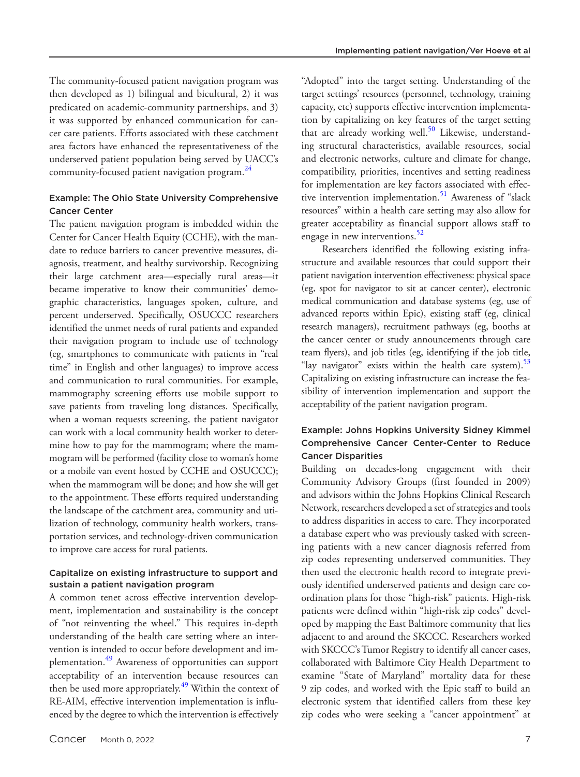The community-focused patient navigation program was then developed as 1) bilingual and bicultural, 2) it was predicated on academic-community partnerships, and 3) it was supported by enhanced communication for cancer care patients. Efforts associated with these catchment area factors have enhanced the representativeness of the underserved patient population being served by UACC's community-focused patient navigation program.<sup>[24](#page-10-4)</sup>

## Example: The Ohio State University Comprehensive Cancer Center

The patient navigation program is imbedded within the Center for Cancer Health Equity (CCHE), with the mandate to reduce barriers to cancer preventive measures, diagnosis, treatment, and healthy survivorship. Recognizing their large catchment area—especially rural areas—it became imperative to know their communities' demographic characteristics, languages spoken, culture, and percent underserved. Specifically, OSUCCC researchers identified the unmet needs of rural patients and expanded their navigation program to include use of technology (eg, smartphones to communicate with patients in "real time" in English and other languages) to improve access and communication to rural communities. For example, mammography screening efforts use mobile support to save patients from traveling long distances. Specifically, when a woman requests screening, the patient navigator can work with a local community health worker to determine how to pay for the mammogram; where the mammogram will be performed (facility close to woman's home or a mobile van event hosted by CCHE and OSUCCC); when the mammogram will be done; and how she will get to the appointment. These efforts required understanding the landscape of the catchment area, community and utilization of technology, community health workers, transportation services, and technology-driven communication to improve care access for rural patients.

## Capitalize on existing infrastructure to support and sustain a patient navigation program

A common tenet across effective intervention development, implementation and sustainability is the concept of "not reinventing the wheel." This requires in-depth understanding of the health care setting where an intervention is intended to occur before development and implementation.<sup>49</sup> Awareness of opportunities can support acceptability of an intervention because resources can then be used more appropriately.<sup>49</sup> Within the context of RE-AIM, effective intervention implementation is influenced by the degree to which the intervention is effectively "Adopted" into the target setting. Understanding of the target settings' resources (personnel, technology, training capacity, etc) supports effective intervention implementation by capitalizing on key features of the target setting that are already working well.<sup>[50](#page-10-24)</sup> Likewise, understanding structural characteristics, available resources, social and electronic networks, culture and climate for change, compatibility, priorities, incentives and setting readiness for implementation are key factors associated with effec-tive intervention implementation.<sup>[51](#page-10-25)</sup> Awareness of "slack resources" within a health care setting may also allow for greater acceptability as financial support allows staff to engage in new interventions.<sup>52</sup>

Researchers identified the following existing infrastructure and available resources that could support their patient navigation intervention effectiveness: physical space (eg, spot for navigator to sit at cancer center), electronic medical communication and database systems (eg, use of advanced reports within Epic), existing staff (eg, clinical research managers), recruitment pathways (eg, booths at the cancer center or study announcements through care team flyers), and job titles (eg, identifying if the job title, "lay navigator" exists within the health care system). $^{53}$  $^{53}$  $^{53}$ Capitalizing on existing infrastructure can increase the feasibility of intervention implementation and support the acceptability of the patient navigation program.

# Example: Johns Hopkins University Sidney Kimmel Comprehensive Cancer Center-Center to Reduce Cancer Disparities

Building on decades-long engagement with their Community Advisory Groups (first founded in 2009) and advisors within the Johns Hopkins Clinical Research Network, researchers developed a set of strategies and tools to address disparities in access to care. They incorporated a database expert who was previously tasked with screening patients with a new cancer diagnosis referred from zip codes representing underserved communities. They then used the electronic health record to integrate previously identified underserved patients and design care coordination plans for those "high-risk" patients. High-risk patients were defined within "high-risk zip codes" developed by mapping the East Baltimore community that lies adjacent to and around the SKCCC. Researchers worked with SKCCC's Tumor Registry to identify all cancer cases, collaborated with Baltimore City Health Department to examine "State of Maryland" mortality data for these 9 zip codes, and worked with the Epic staff to build an electronic system that identified callers from these key zip codes who were seeking a "cancer appointment" at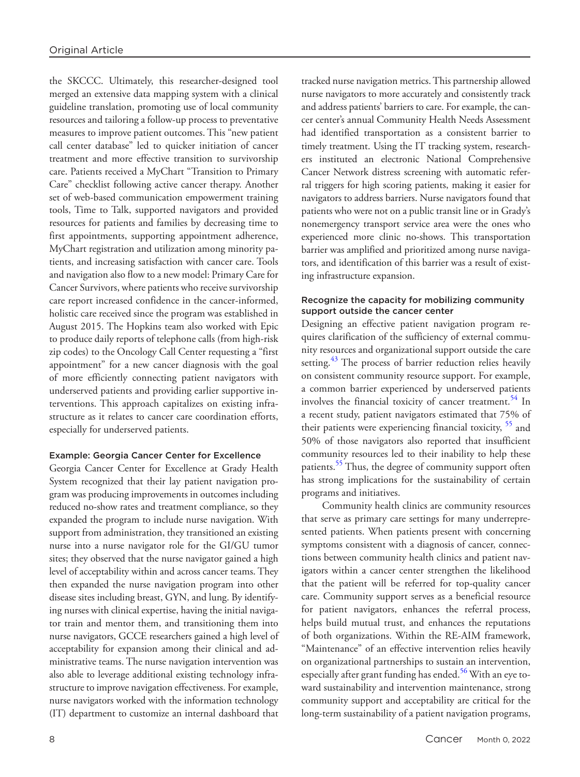the SKCCC. Ultimately, this researcher-designed tool merged an extensive data mapping system with a clinical guideline translation, promoting use of local community resources and tailoring a follow-up process to preventative measures to improve patient outcomes. This "new patient call center database" led to quicker initiation of cancer treatment and more effective transition to survivorship care. Patients received a MyChart "Transition to Primary Care" checklist following active cancer therapy. Another set of web-based communication empowerment training tools, Time to Talk, supported navigators and provided resources for patients and families by decreasing time to first appointments, supporting appointment adherence, MyChart registration and utilization among minority patients, and increasing satisfaction with cancer care. Tools and navigation also flow to a new model: Primary Care for Cancer Survivors, where patients who receive survivorship care report increased confidence in the cancer-informed, holistic care received since the program was established in August 2015. The Hopkins team also worked with Epic to produce daily reports of telephone calls (from high-risk zip codes) to the Oncology Call Center requesting a "first appointment" for a new cancer diagnosis with the goal of more efficiently connecting patient navigators with underserved patients and providing earlier supportive interventions. This approach capitalizes on existing infrastructure as it relates to cancer care coordination efforts, especially for underserved patients.

## Example: Georgia Cancer Center for Excellence

Georgia Cancer Center for Excellence at Grady Health System recognized that their lay patient navigation program was producing improvements in outcomes including reduced no-show rates and treatment compliance, so they expanded the program to include nurse navigation. With support from administration, they transitioned an existing nurse into a nurse navigator role for the GI/GU tumor sites; they observed that the nurse navigator gained a high level of acceptability within and across cancer teams. They then expanded the nurse navigation program into other disease sites including breast, GYN, and lung. By identifying nurses with clinical expertise, having the initial navigator train and mentor them, and transitioning them into nurse navigators, GCCE researchers gained a high level of acceptability for expansion among their clinical and administrative teams. The nurse navigation intervention was also able to leverage additional existing technology infrastructure to improve navigation effectiveness. For example, nurse navigators worked with the information technology (IT) department to customize an internal dashboard that tracked nurse navigation metrics. This partnership allowed nurse navigators to more accurately and consistently track and address patients' barriers to care. For example, the cancer center's annual Community Health Needs Assessment had identified transportation as a consistent barrier to timely treatment. Using the IT tracking system, researchers instituted an electronic National Comprehensive Cancer Network distress screening with automatic referral triggers for high scoring patients, making it easier for navigators to address barriers. Nurse navigators found that patients who were not on a public transit line or in Grady's nonemergency transport service area were the ones who experienced more clinic no-shows. This transportation barrier was amplified and prioritized among nurse navigators, and identification of this barrier was a result of existing infrastructure expansion.

## Recognize the capacity for mobilizing community support outside the cancer center

Designing an effective patient navigation program requires clarification of the sufficiency of external community resources and organizational support outside the care setting.<sup>43</sup> The process of barrier reduction relies heavily on consistent community resource support. For example, a common barrier experienced by underserved patients involves the financial toxicity of cancer treatment.<sup>[54](#page-10-28)</sup> In a recent study, patient navigators estimated that 75% of their patients were experiencing financial toxicity, <sup>55</sup> and 50% of those navigators also reported that insufficient community resources led to their inability to help these patients.<sup>55</sup> Thus, the degree of community support often has strong implications for the sustainability of certain programs and initiatives.

Community health clinics are community resources that serve as primary care settings for many underrepresented patients. When patients present with concerning symptoms consistent with a diagnosis of cancer, connections between community health clinics and patient navigators within a cancer center strengthen the likelihood that the patient will be referred for top-quality cancer care. Community support serves as a beneficial resource for patient navigators, enhances the referral process, helps build mutual trust, and enhances the reputations of both organizations. Within the RE-AIM framework, "Maintenance" of an effective intervention relies heavily on organizational partnerships to sustain an intervention, especially after grant funding has ended.<sup>56</sup> With an eye toward sustainability and intervention maintenance, strong community support and acceptability are critical for the long-term sustainability of a patient navigation programs,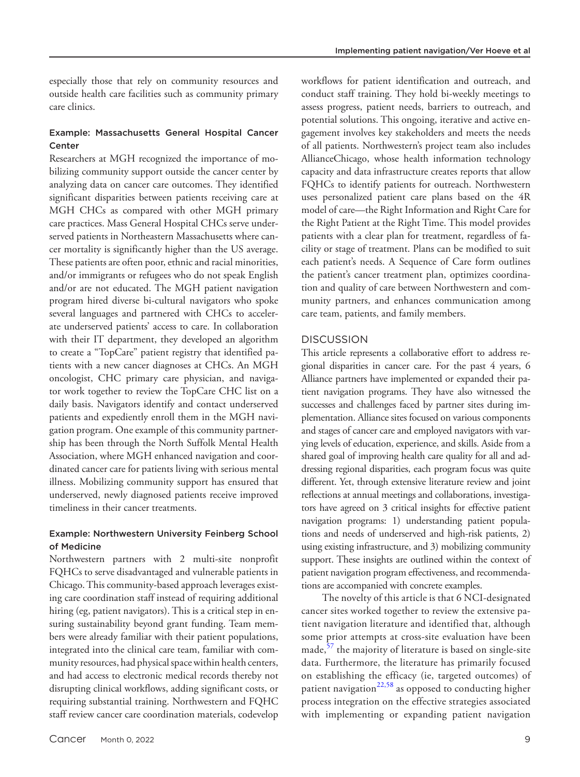especially those that rely on community resources and outside health care facilities such as community primary care clinics.

## Example: Massachusetts General Hospital Cancer Center

Researchers at MGH recognized the importance of mobilizing community support outside the cancer center by analyzing data on cancer care outcomes. They identified significant disparities between patients receiving care at MGH CHCs as compared with other MGH primary care practices. Mass General Hospital CHCs serve underserved patients in Northeastern Massachusetts where cancer mortality is significantly higher than the US average. These patients are often poor, ethnic and racial minorities, and/or immigrants or refugees who do not speak English and/or are not educated. The MGH patient navigation program hired diverse bi-cultural navigators who spoke several languages and partnered with CHCs to accelerate underserved patients' access to care. In collaboration with their IT department, they developed an algorithm to create a "TopCare" patient registry that identified patients with a new cancer diagnoses at CHCs. An MGH oncologist, CHC primary care physician, and navigator work together to review the TopCare CHC list on a daily basis. Navigators identify and contact underserved patients and expediently enroll them in the MGH navigation program. One example of this community partnership has been through the North Suffolk Mental Health Association, where MGH enhanced navigation and coordinated cancer care for patients living with serious mental illness. Mobilizing community support has ensured that underserved, newly diagnosed patients receive improved timeliness in their cancer treatments.

## Example: Northwestern University Feinberg School of Medicine

Northwestern partners with 2 multi-site nonprofit FQHCs to serve disadvantaged and vulnerable patients in Chicago. This community-based approach leverages existing care coordination staff instead of requiring additional hiring (eg, patient navigators). This is a critical step in ensuring sustainability beyond grant funding. Team members were already familiar with their patient populations, integrated into the clinical care team, familiar with community resources, had physical space within health centers, and had access to electronic medical records thereby not disrupting clinical workflows, adding significant costs, or requiring substantial training. Northwestern and FQHC staff review cancer care coordination materials, codevelop workflows for patient identification and outreach, and conduct staff training. They hold bi-weekly meetings to assess progress, patient needs, barriers to outreach, and potential solutions. This ongoing, iterative and active engagement involves key stakeholders and meets the needs of all patients. Northwestern's project team also includes AllianceChicago, whose health information technology capacity and data infrastructure creates reports that allow FQHCs to identify patients for outreach. Northwestern uses personalized patient care plans based on the 4R model of care—the Right Information and Right Care for the Right Patient at the Right Time. This model provides patients with a clear plan for treatment, regardless of facility or stage of treatment. Plans can be modified to suit each patient's needs. A Sequence of Care form outlines the patient's cancer treatment plan, optimizes coordination and quality of care between Northwestern and community partners, and enhances communication among care team, patients, and family members.

## **DISCUSSION**

This article represents a collaborative effort to address regional disparities in cancer care. For the past 4 years, 6 Alliance partners have implemented or expanded their patient navigation programs. They have also witnessed the successes and challenges faced by partner sites during implementation. Alliance sites focused on various components and stages of cancer care and employed navigators with varying levels of education, experience, and skills. Aside from a shared goal of improving health care quality for all and addressing regional disparities, each program focus was quite different. Yet, through extensive literature review and joint reflections at annual meetings and collaborations, investigators have agreed on 3 critical insights for effective patient navigation programs: 1) understanding patient populations and needs of underserved and high-risk patients, 2) using existing infrastructure, and 3) mobilizing community support. These insights are outlined within the context of patient navigation program effectiveness, and recommendations are accompanied with concrete examples.

The novelty of this article is that 6 NCI-designated cancer sites worked together to review the extensive patient navigation literature and identified that, although some prior attempts at cross-site evaluation have been made,<sup>[57](#page-10-31)</sup> the majority of literature is based on single-site data. Furthermore, the literature has primarily focused on establishing the efficacy (ie, targeted outcomes) of patient navigation<sup>[22,58](#page-10-2)</sup> as opposed to conducting higher process integration on the effective strategies associated with implementing or expanding patient navigation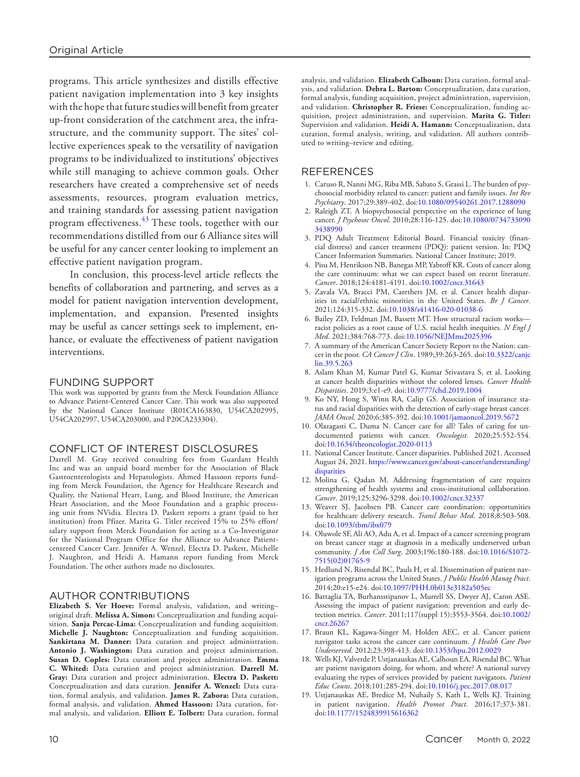programs. This article synthesizes and distills effective patient navigation implementation into 3 key insights with the hope that future studies will benefit from greater up-front consideration of the catchment area, the infrastructure, and the community support. The sites' collective experiences speak to the versatility of navigation programs to be individualized to institutions' objectives while still managing to achieve common goals. Other researchers have created a comprehensive set of needs assessments, resources, program evaluation metrics, and training standards for assessing patient navigation program effectiveness.<sup>[43](#page-10-17)</sup> These tools, together with our recommendations distilled from our 6 Alliance sites will be useful for any cancer center looking to implement an effective patient navigation program.

In conclusion, this process-level article reflects the benefits of collaboration and partnering, and serves as a model for patient navigation intervention development, implementation, and expansion. Presented insights may be useful as cancer settings seek to implement, enhance, or evaluate the effectiveness of patient navigation interventions.

## FUNDING SUPPORT

This work was supported by grants from the Merck Foundation Alliance to Advance Patient-Centered Cancer Care. This work was also supported by the National Cancer Institute (R01CA163830, U54CA202995, U54CA202997, U54CA203000, and P20CA233304).

#### CONFLICT OF INTEREST DISCLOSURES

Darrell M. Gray received consulting fees from Guardant Health Inc and was an unpaid board member for the Association of Black Gastroenterologists and Hepatologists. Ahmed Hassoon reports funding from Merck Foundation, the Agency for Healthcare Research and Quality, the National Heart, Lung, and Blood Institute, the American Heart Association, and the Moor Foundation and a graphic processing unit from NVidia. Electra D. Paskett reports a grant (paid to her institution) from Pfizer. Marita G. Titler received 15% to 25% effort/ salary support from Merck Foundation for acting as a Co-Investigator for the National Program Office for the Alliance to Advance Patientcentered Cancer Care. Jennifer A. Wenzel, Electra D. Paskett, Michelle J. Naughton, and Heidi A. Hamann report funding from Merck Foundation. The other authors made no disclosures.

## AUTHOR CONTRIBUTIONS

**Elizabeth S. Ver Hoeve:** Formal analysis, validation, and writing– original draft. **Melissa A. Simon:** Conceptualization and funding acquisition. **Sanja Percac-Lima:** Conceptualization and funding acquisition. **Michelle J. Naughton:** Conceptualization and funding acquisition. **Sankirtana M. Danner:** Data curation and project administration. **Antonio J. Washington:** Data curation and project administration. **Susan D. Coples:** Data curation and project administration. **Emma C. Whited:** Data curation and project administration. **Darrell M. Gray:** Data curation and project administration. **Electra D. Paskett:** Conceptualization and data curation. **Jennifer A. Wenzel:** Data curation, formal analysis, and validation. **James R. Zabora:** Data curation, formal analysis, and validation. **Ahmed Hassoon:** Data curation, formal analysis, and validation. **Elliott E. Tolbert:** Data curation, formal

# **REFERENCES**

- <span id="page-9-0"></span>1. Caruso R, Nanni MG, Riba MB, Sabato S, Grassi L. The burden of psychosocial morbidity related to cancer: patient and family issues. *Int Rev Psychiatry*. 2017;29:389-402. doi:[10.1080/09540261.2017.1288090](https://doi.org/10.1080/09540261.2017.1288090)
- 2. Raleigh ZT. A biopsychosocial perspective on the experience of lung cancer. *J Psychosoc Oncol*. 2010;28:116-125. doi:[10.1080/0734733090](https://doi.org/10.1080/07347330903438990) [3438990](https://doi.org/10.1080/07347330903438990)
- <span id="page-9-1"></span>3. PDQ Adult Treatment Editorial Board. Financial toxicity (financial distress) and cancer treatment (PDQ): patient version. In: PDQ Cancer Information Summaries. National Cancer Institute; 2019.
- 4. Pisu M, Henrikson NB, Banegas MP, Yabroff KR. Costs of cancer along the care continuum: what we can expect based on recent literature. *Cancer*. 2018;124:4181-4191. doi:[10.1002/cncr.31643](https://doi.org/10.1002/cncr.31643)
- <span id="page-9-2"></span>5. Zavala VA, Bracci PM, Carethers JM, et al. Cancer health disparities in racial/ethnic minorities in the United States. *Br J Cancer*. 2021;124:315-332. doi[:10.1038/s41416-020-01038-6](https://doi.org/10.1038/s41416-020-01038-6)
- 6. Bailey ZD, Feldman JM, Bassett MT. How structural racism works racist policies as a root cause of U.S. racial health inequities. *N Engl J Med*. 2021;384:768-773. doi[:10.1056/NEJMms2025396](https://doi.org/10.1056/NEJMms2025396)
- <span id="page-9-3"></span>7. A summary of the American Cancer Society Report to the Nation: cancer in the poor. *CA Cancer J Clin*. 1989;39:263-265. doi:[10.3322/canjc](https://doi.org/10.3322/canjclin.39.5.263) [lin.39.5.263](https://doi.org/10.3322/canjclin.39.5.263)
- <span id="page-9-4"></span>8. Aslam Khan M, Kumar Patel G, Kumar Srivastava S, et al. Looking at cancer health disparities without the colored lenses. *Cancer Health Disparities*. 2019;3:e1-e9. doi[:10.9777/chd.2019.1004](https://doi.org/10.9777/chd.2019.1004)
- 9. Ko NY, Hong S, Winn RA, Calip GS. Association of insurance status and racial disparities with the detection of early-stage breast cancer. *JAMA Oncol*. 2020;6:385-392. doi[:10.1001/jamaoncol.2019.5672](https://doi.org/10.1001/jamaoncol.2019.5672)
- 10. Olazagasti C, Duma N. Cancer care for all? Tales of caring for undocumented patients with cancer. *Oncologist*. 2020;25:552-554. doi:[10.1634/theoncologist.2020-0113](https://doi.org/10.1634/theoncologist.2020-0113)
- 11. National Cancer Institute. Cancer disparities. Published 2021. Accessed August 24, 2021. [https://www.cancer.gov/about-cancer/understanding/](https://www.cancer.gov/about-cancer/understanding/disparities) [disparities](https://www.cancer.gov/about-cancer/understanding/disparities)
- <span id="page-9-5"></span>12. Molina G, Qadan M. Addressing fragmentation of care requires strengthening of health systems and cross-institutional collaboration. *Cancer*. 2019;125:3296-3298. doi:[10.1002/cncr.32337](https://doi.org/10.1002/cncr.32337)
- 13. Weaver SJ, Jacobsen PB. Cancer care coordination: opportunities for healthcare delivery research. *Transl Behav Med*. 2018;8:503-508. doi:[10.1093/tbm/ibx079](https://doi.org/10.1093/tbm/ibx079)
- <span id="page-9-6"></span>14. Oluwole SF, Ali AO, Adu A, et al. Impact of a cancer screening program on breast cancer stage at diagnosis in a medically underserved urban community. *J Am Coll Surg*. 2003;196:180-188. doi[:10.1016/S1072-](https://doi.org/10.1016/S1072-7515(02)01765-9) [7515\(02\)01765-9](https://doi.org/10.1016/S1072-7515(02)01765-9)
- <span id="page-9-7"></span>15. Hedlund N, Risendal BC, Pauls H, et al. Dissemination of patient navigation programs across the United States. *J Public Health Manag Pract*. 2014;20:e15-e24. doi[:10.1097/PHH.0b013e3182a505ec](https://doi.org/10.1097/PHH.0b013e3182a505ec)
- <span id="page-9-8"></span>16. Battaglia TA, Burhansstipanov L, Murrell SS, Dwyer AJ, Caron ASE. Assessing the impact of patient navigation: prevention and early detection metrics. *Cancer*. 2011;117(suppl 15):3553-3564. doi:[10.1002/](https://doi.org/10.1002/cncr.26267) [cncr.26267](https://doi.org/10.1002/cncr.26267)
- <span id="page-9-9"></span>17. Braun KL, Kagawa-Singer M, Holden AEC, et al. Cancer patient navigator tasks across the cancer care continuum. *J Health Care Poor Underserved*. 2012;23:398-413. doi:[10.1353/hpu.2012.0029](https://doi.org/10.1353/hpu.2012.0029)
- <span id="page-9-10"></span>18. Wells KJ, Valverde P, Ustjanauskas AE, Calhoun EA, Risendal BC. What are patient navigators doing, for whom, and where? A national survey evaluating the types of services provided by patient navigators. *Patient Educ Couns*. 2018;101:285-294. doi:[10.1016/j.pec.2017.08.017](https://doi.org/10.1016/j.pec.2017.08.017)
- <span id="page-9-11"></span>19. Ustjanauskas AE, Bredice M, Nuhaily S, Kath L, Wells KJ. Training in patient navigation. *Health Promot Pract*. 2016;17:373-381. doi:[10.1177/1524839915616362](https://doi.org/10.1177/1524839915616362)